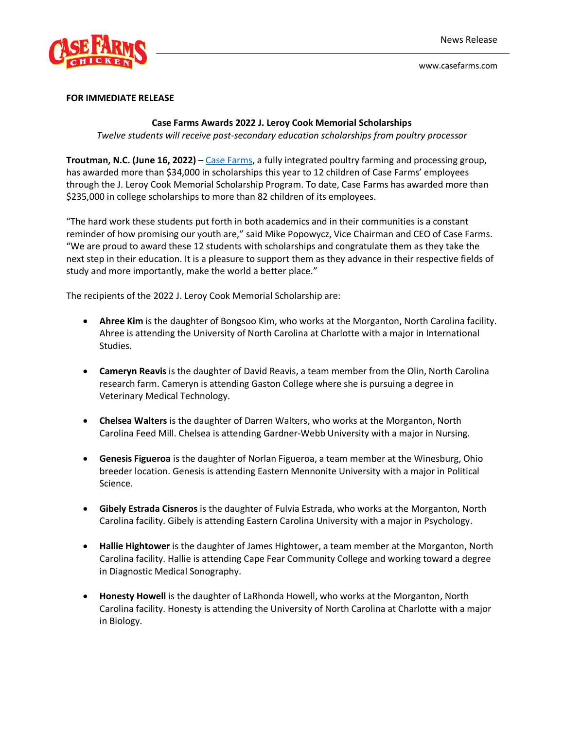

www.casefarms.com

## **FOR IMMEDIATE RELEASE**

## **Case Farms Awards 2022 J. Leroy Cook Memorial Scholarships**

*Twelve students will receive post-secondary education scholarships from poultry processor*

**Troutman, N.C. (June 16, 2022)** – [Case Farms,](https://www.casefarms.com/) a fully integrated poultry farming and processing group, has awarded more than \$34,000 in scholarships this year to 12 children of Case Farms' employees through the J. Leroy Cook Memorial Scholarship Program. To date, Case Farms has awarded more than \$235,000 in college scholarships to more than 82 children of its employees.

"The hard work these students put forth in both academics and in their communities is a constant reminder of how promising our youth are," said Mike Popowycz, Vice Chairman and CEO of Case Farms. "We are proud to award these 12 students with scholarships and congratulate them as they take the next step in their education. It is a pleasure to support them as they advance in their respective fields of study and more importantly, make the world a better place."

The recipients of the 2022 J. Leroy Cook Memorial Scholarship are:

- **Ahree Kim** is the daughter of Bongsoo Kim, who works at the Morganton, North Carolina facility. Ahree is attending the University of North Carolina at Charlotte with a major in International Studies.
- **Cameryn Reavis** is the daughter of David Reavis, a team member from the Olin, North Carolina research farm. Cameryn is attending Gaston College where she is pursuing a degree in Veterinary Medical Technology.
- **Chelsea Walters** is the daughter of Darren Walters, who works at the Morganton, North Carolina Feed Mill. Chelsea is attending Gardner-Webb University with a major in Nursing.
- **Genesis Figueroa** is the daughter of Norlan Figueroa, a team member at the Winesburg, Ohio breeder location. Genesis is attending Eastern Mennonite University with a major in Political Science.
- **Gibely Estrada Cisneros** is the daughter of Fulvia Estrada, who works at the Morganton, North Carolina facility. Gibely is attending Eastern Carolina University with a major in Psychology.
- **Hallie Hightower** is the daughter of James Hightower, a team member at the Morganton, North Carolina facility. Hallie is attending Cape Fear Community College and working toward a degree in Diagnostic Medical Sonography.
- **Honesty Howell** is the daughter of LaRhonda Howell, who works at the Morganton, North Carolina facility. Honesty is attending the University of North Carolina at Charlotte with a major in Biology.